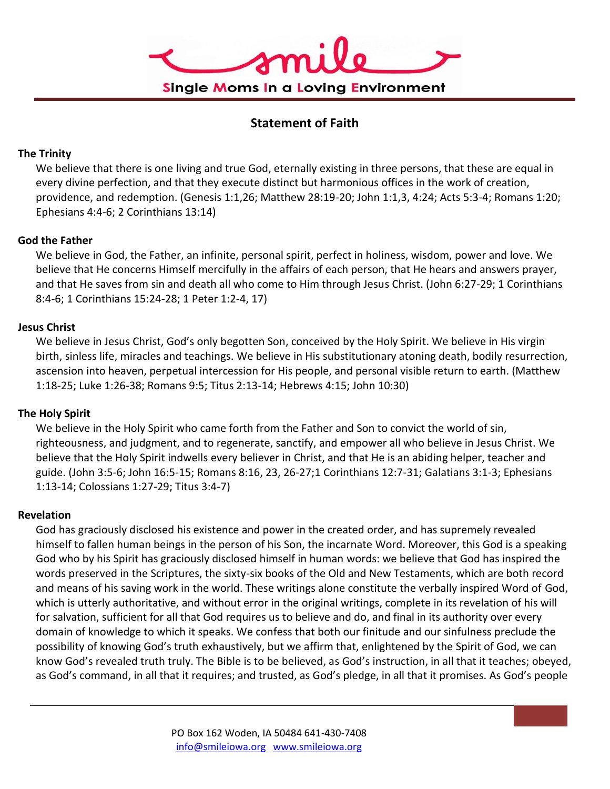

# **Statement of Faith**

## **The Trinity**

We believe that there is one living and true God, eternally existing in three persons, that these are equal in every divine perfection, and that they execute distinct but harmonious offices in the work of creation, providence, and redemption. (Genesis 1:1,26; Matthew 28:19-20; John 1:1,3, 4:24; Acts 5:3-4; Romans 1:20; Ephesians 4:4-6; 2 Corinthians 13:14)

# **God the Father**

We believe in God, the Father, an infinite, personal spirit, perfect in holiness, wisdom, power and love. We believe that He concerns Himself mercifully in the affairs of each person, that He hears and answers prayer, and that He saves from sin and death all who come to Him through Jesus Christ. (John 6:27-29; 1 Corinthians 8:4-6; 1 Corinthians 15:24-28; 1 Peter 1:2-4, 17)

# **Jesus Christ**

We believe in Jesus Christ, God's only begotten Son, conceived by the Holy Spirit. We believe in His virgin birth, sinless life, miracles and teachings. We believe in His substitutionary atoning death, bodily resurrection, ascension into heaven, perpetual intercession for His people, and personal visible return to earth. (Matthew 1:18-25; Luke 1:26-38; Romans 9:5; Titus 2:13-14; Hebrews 4:15; John 10:30)

## **The Holy Spirit**

We believe in the Holy Spirit who came forth from the Father and Son to convict the world of sin, righteousness, and judgment, and to regenerate, sanctify, and empower all who believe in Jesus Christ. We believe that the Holy Spirit indwells every believer in Christ, and that He is an abiding helper, teacher and guide. (John 3:5-6; John 16:5-15; Romans 8:16, 23, 26-27;1 Corinthians 12:7-31; Galatians 3:1-3; Ephesians 1:13-14; Colossians 1:27-29; Titus 3:4-7)

## **Revelation**

God has graciously disclosed his existence and power in the created order, and has supremely revealed himself to fallen human beings in the person of his Son, the incarnate Word. Moreover, this God is a speaking God who by his Spirit has graciously disclosed himself in human words: we believe that God has inspired the words preserved in the Scriptures, the sixty-six books of the Old and New Testaments, which are both record and means of his saving work in the world. These writings alone constitute the verbally inspired Word of God, which is utterly authoritative, and without error in the original writings, complete in its revelation of his will for salvation, sufficient for all that God requires us to believe and do, and final in its authority over every domain of knowledge to which it speaks. We confess that both our finitude and our sinfulness preclude the possibility of knowing God's truth exhaustively, but we affirm that, enlightened by the Spirit of God, we can know God's revealed truth truly. The Bible is to be believed, as God's instruction, in all that it teaches; obeyed, as God's command, in all that it requires; and trusted, as God's pledge, in all that it promises. As God's people